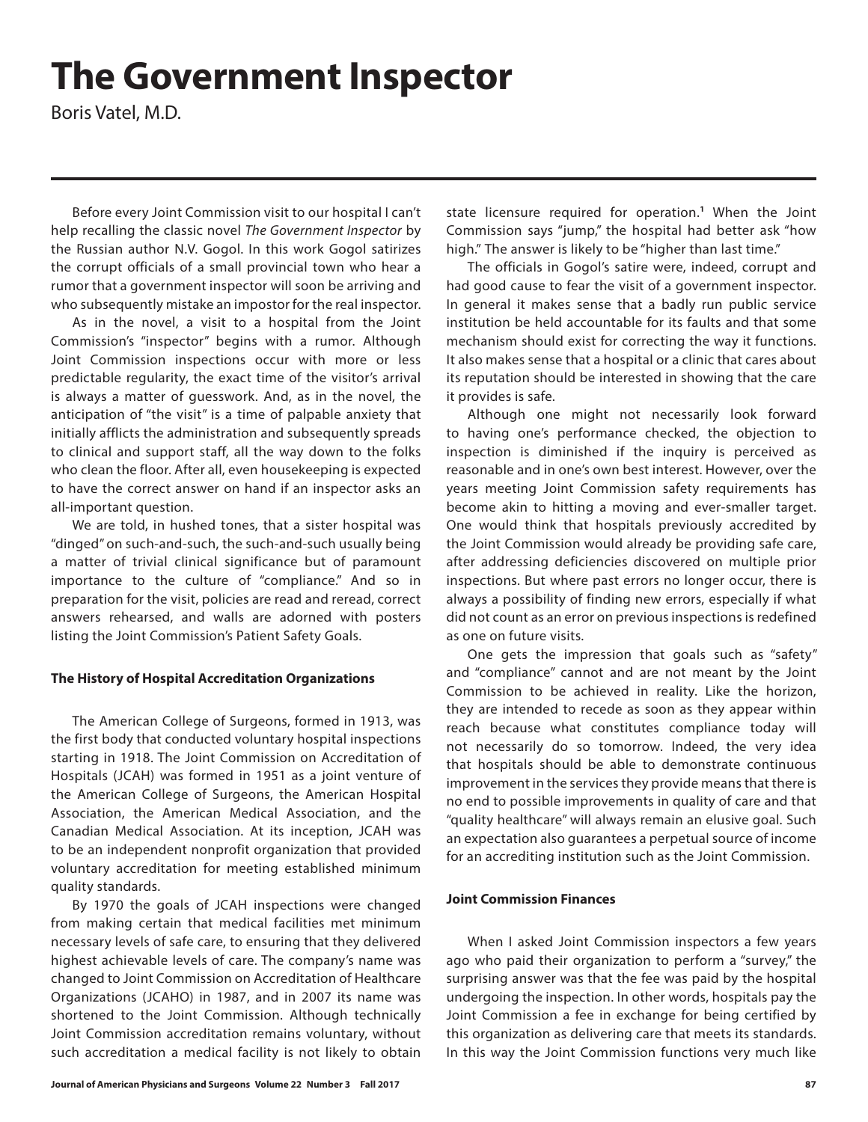# **The Government Inspector**

Boris Vatel, M.D.

Before every Joint Commission visit to our hospital I can't help recalling the classic novel *The Government Inspector* by the Russian author N.V. Gogol. In this work Gogol satirizes the corrupt officials of a small provincial town who hear a rumor that a government inspector will soon be arriving and who subsequently mistake an impostor for the real inspector.

As in the novel, a visit to a hospital from the Joint Commission's "inspector" begins with a rumor. Although Joint Commission inspections occur with more or less predictable regularity, the exact time of the visitor's arrival is always a matter of guesswork. And, as in the novel, the anticipation of "the visit" is a time of palpable anxiety that initially afflicts the administration and subsequently spreads to clinical and support staff, all the way down to the folks who clean the floor. After all, even housekeeping is expected to have the correct answer on hand if an inspector asks an all-important question.

We are told, in hushed tones, that a sister hospital was "dinged" on such-and-such, the such-and-such usually being a matter of trivial clinical significance but of paramount importance to the culture of "compliance." And so in preparation for the visit, policies are read and reread, correct answers rehearsed, and walls are adorned with posters listing the Joint Commission's Patient Safety Goals.

## **The History of Hospital Accreditation Organizations**

The American College of Surgeons, formed in 1913, was the first body that conducted voluntary hospital inspections starting in 1918. The Joint Commission on Accreditation of Hospitals (JCAH) was formed in 1951 as a joint venture of the American College of Surgeons, the American Hospital Association, the American Medical Association, and the Canadian Medical Association. At its inception, JCAH was to be an independent nonprofit organization that provided voluntary accreditation for meeting established minimum quality standards.

By 1970 the goals of JCAH inspections were changed from making certain that medical facilities met minimum necessary levels of safe care, to ensuring that they delivered highest achievable levels of care. The company's name was changed to Joint Commission on Accreditation of Healthcare Organizations (JCAHO) in 1987, and in 2007 its name was shortened to the Joint Commission. Although technically Joint Commission accreditation remains voluntary, without such accreditation a medical facility is not likely to obtain

state licensure required for operation.**<sup>1</sup>** When the Joint Commission says "jump," the hospital had better ask "how high." The answer is likely to be "higher than last time."

The officials in Gogol's satire were, indeed, corrupt and had good cause to fear the visit of a government inspector. In general it makes sense that a badly run public service institution be held accountable for its faults and that some mechanism should exist for correcting the way it functions. It also makes sense that a hospital or a clinic that cares about its reputation should be interested in showing that the care it provides is safe.

Although one might not necessarily look forward to having one's performance checked, the objection to inspection is diminished if the inquiry is perceived as reasonable and in one's own best interest. However, over the years meeting Joint Commission safety requirements has become akin to hitting a moving and ever-smaller target. One would think that hospitals previously accredited by the Joint Commission would already be providing safe care, after addressing deficiencies discovered on multiple prior inspections. But where past errors no longer occur, there is always a possibility of finding new errors, especially if what did not count as an error on previous inspections is redefined as one on future visits.

One gets the impression that goals such as "safety" and "compliance" cannot and are not meant by the Joint Commission to be achieved in reality. Like the horizon, they are intended to recede as soon as they appear within reach because what constitutes compliance today will not necessarily do so tomorrow. Indeed, the very idea that hospitals should be able to demonstrate continuous improvement in the services they provide means that there is no end to possible improvements in quality of care and that "quality healthcare" will always remain an elusive goal. Such an expectation also guarantees a perpetual source of income for an accrediting institution such as the Joint Commission.

### **Joint Commission Finances**

When I asked Joint Commission inspectors a few years ago who paid their organization to perform a "survey," the surprising answer was that the fee was paid by the hospital undergoing the inspection. In other words, hospitals pay the Joint Commission a fee in exchange for being certified by this organization as delivering care that meets its standards. In this way the Joint Commission functions very much like